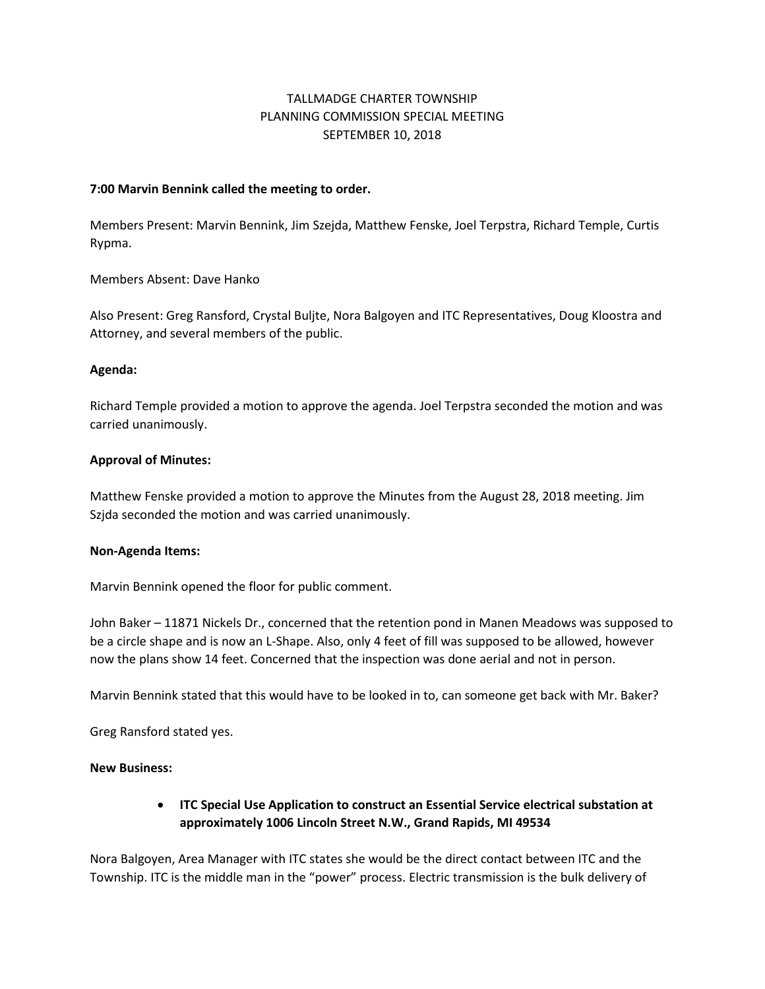# TALLMADGE CHARTER TOWNSHIP PLANNING COMMISSION SPECIAL MEETING SEPTEMBER 10, 2018

#### **7:00 Marvin Bennink called the meeting to order.**

Members Present: Marvin Bennink, Jim Szejda, Matthew Fenske, Joel Terpstra, Richard Temple, Curtis Rypma.

Members Absent: Dave Hanko

Also Present: Greg Ransford, Crystal Buljte, Nora Balgoyen and ITC Representatives, Doug Kloostra and Attorney, and several members of the public.

### **Agenda:**

Richard Temple provided a motion to approve the agenda. Joel Terpstra seconded the motion and was carried unanimously.

### **Approval of Minutes:**

Matthew Fenske provided a motion to approve the Minutes from the August 28, 2018 meeting. Jim Szjda seconded the motion and was carried unanimously.

#### **Non-Agenda Items:**

Marvin Bennink opened the floor for public comment.

John Baker – 11871 Nickels Dr., concerned that the retention pond in Manen Meadows was supposed to be a circle shape and is now an L-Shape. Also, only 4 feet of fill was supposed to be allowed, however now the plans show 14 feet. Concerned that the inspection was done aerial and not in person.

Marvin Bennink stated that this would have to be looked in to, can someone get back with Mr. Baker?

Greg Ransford stated yes.

#### **New Business:**

• **ITC Special Use Application to construct an Essential Service electrical substation at approximately 1006 Lincoln Street N.W., Grand Rapids, MI 49534**

Nora Balgoyen, Area Manager with ITC states she would be the direct contact between ITC and the Township. ITC is the middle man in the "power" process. Electric transmission is the bulk delivery of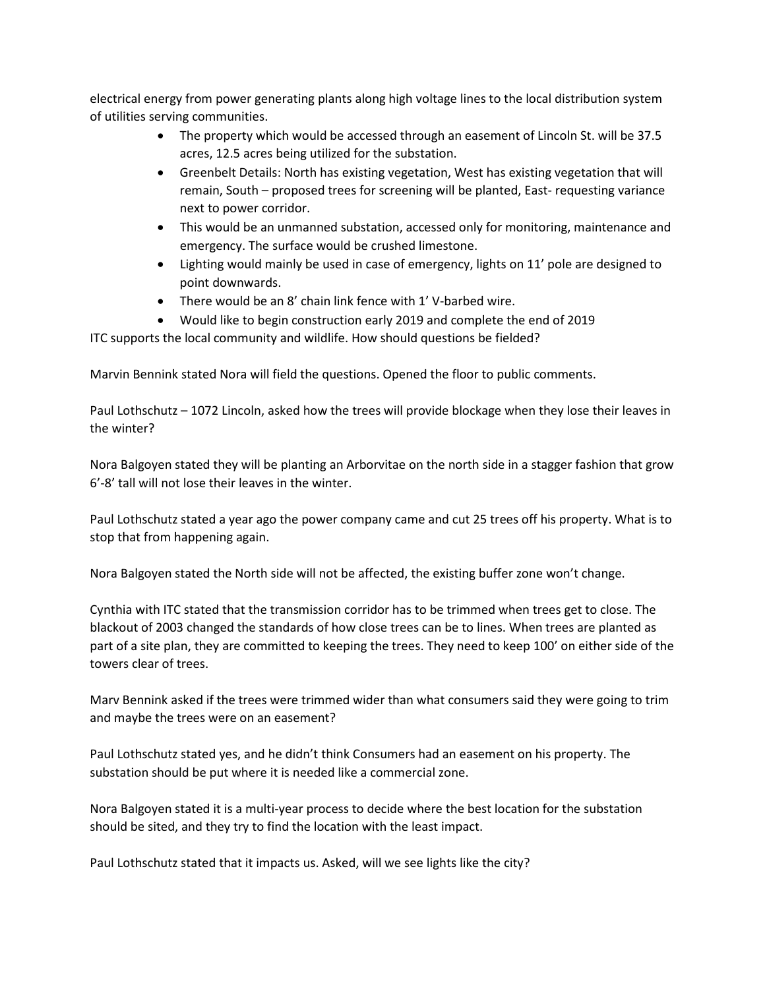electrical energy from power generating plants along high voltage lines to the local distribution system of utilities serving communities.

- The property which would be accessed through an easement of Lincoln St. will be 37.5 acres, 12.5 acres being utilized for the substation.
- Greenbelt Details: North has existing vegetation, West has existing vegetation that will remain, South – proposed trees for screening will be planted, East- requesting variance next to power corridor.
- This would be an unmanned substation, accessed only for monitoring, maintenance and emergency. The surface would be crushed limestone.
- Lighting would mainly be used in case of emergency, lights on 11' pole are designed to point downwards.
- There would be an 8' chain link fence with 1' V-barbed wire.
- Would like to begin construction early 2019 and complete the end of 2019

# ITC supports the local community and wildlife. How should questions be fielded?

Marvin Bennink stated Nora will field the questions. Opened the floor to public comments.

Paul Lothschutz – 1072 Lincoln, asked how the trees will provide blockage when they lose their leaves in the winter?

Nora Balgoyen stated they will be planting an Arborvitae on the north side in a stagger fashion that grow 6'-8' tall will not lose their leaves in the winter.

Paul Lothschutz stated a year ago the power company came and cut 25 trees off his property. What is to stop that from happening again.

Nora Balgoyen stated the North side will not be affected, the existing buffer zone won't change.

Cynthia with ITC stated that the transmission corridor has to be trimmed when trees get to close. The blackout of 2003 changed the standards of how close trees can be to lines. When trees are planted as part of a site plan, they are committed to keeping the trees. They need to keep 100' on either side of the towers clear of trees.

Marv Bennink asked if the trees were trimmed wider than what consumers said they were going to trim and maybe the trees were on an easement?

Paul Lothschutz stated yes, and he didn't think Consumers had an easement on his property. The substation should be put where it is needed like a commercial zone.

Nora Balgoyen stated it is a multi-year process to decide where the best location for the substation should be sited, and they try to find the location with the least impact.

Paul Lothschutz stated that it impacts us. Asked, will we see lights like the city?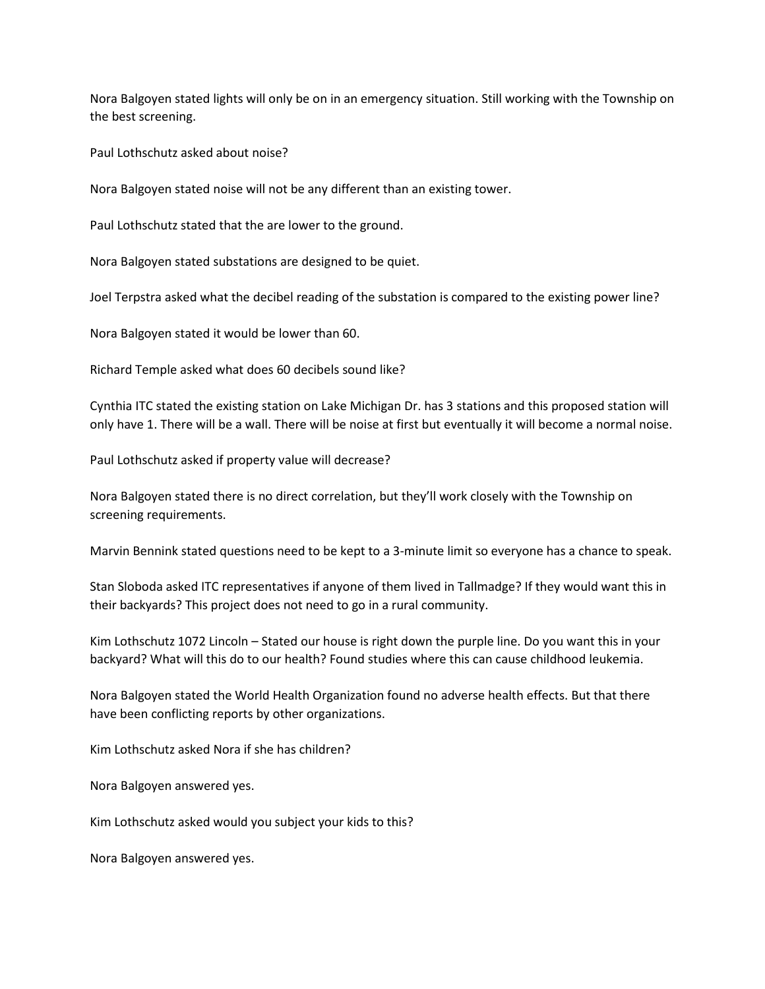Nora Balgoyen stated lights will only be on in an emergency situation. Still working with the Township on the best screening.

Paul Lothschutz asked about noise?

Nora Balgoyen stated noise will not be any different than an existing tower.

Paul Lothschutz stated that the are lower to the ground.

Nora Balgoyen stated substations are designed to be quiet.

Joel Terpstra asked what the decibel reading of the substation is compared to the existing power line?

Nora Balgoyen stated it would be lower than 60.

Richard Temple asked what does 60 decibels sound like?

Cynthia ITC stated the existing station on Lake Michigan Dr. has 3 stations and this proposed station will only have 1. There will be a wall. There will be noise at first but eventually it will become a normal noise.

Paul Lothschutz asked if property value will decrease?

Nora Balgoyen stated there is no direct correlation, but they'll work closely with the Township on screening requirements.

Marvin Bennink stated questions need to be kept to a 3-minute limit so everyone has a chance to speak.

Stan Sloboda asked ITC representatives if anyone of them lived in Tallmadge? If they would want this in their backyards? This project does not need to go in a rural community.

Kim Lothschutz 1072 Lincoln – Stated our house is right down the purple line. Do you want this in your backyard? What will this do to our health? Found studies where this can cause childhood leukemia.

Nora Balgoyen stated the World Health Organization found no adverse health effects. But that there have been conflicting reports by other organizations.

Kim Lothschutz asked Nora if she has children?

Nora Balgoyen answered yes.

Kim Lothschutz asked would you subject your kids to this?

Nora Balgoyen answered yes.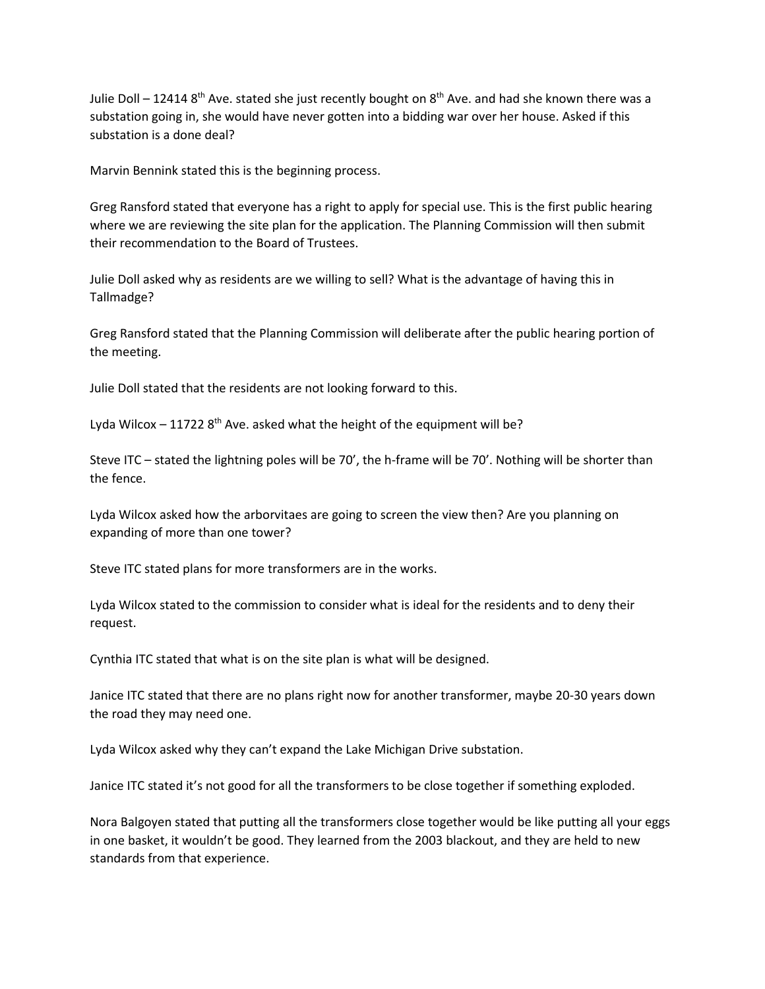Julie Doll – 12414  $8^{th}$  Ave. stated she just recently bought on  $8^{th}$  Ave. and had she known there was a substation going in, she would have never gotten into a bidding war over her house. Asked if this substation is a done deal?

Marvin Bennink stated this is the beginning process.

Greg Ransford stated that everyone has a right to apply for special use. This is the first public hearing where we are reviewing the site plan for the application. The Planning Commission will then submit their recommendation to the Board of Trustees.

Julie Doll asked why as residents are we willing to sell? What is the advantage of having this in Tallmadge?

Greg Ransford stated that the Planning Commission will deliberate after the public hearing portion of the meeting.

Julie Doll stated that the residents are not looking forward to this.

Lyda Wilcox  $-11722$  8<sup>th</sup> Ave. asked what the height of the equipment will be?

Steve ITC – stated the lightning poles will be 70', the h-frame will be 70'. Nothing will be shorter than the fence.

Lyda Wilcox asked how the arborvitaes are going to screen the view then? Are you planning on expanding of more than one tower?

Steve ITC stated plans for more transformers are in the works.

Lyda Wilcox stated to the commission to consider what is ideal for the residents and to deny their request.

Cynthia ITC stated that what is on the site plan is what will be designed.

Janice ITC stated that there are no plans right now for another transformer, maybe 20-30 years down the road they may need one.

Lyda Wilcox asked why they can't expand the Lake Michigan Drive substation.

Janice ITC stated it's not good for all the transformers to be close together if something exploded.

Nora Balgoyen stated that putting all the transformers close together would be like putting all your eggs in one basket, it wouldn't be good. They learned from the 2003 blackout, and they are held to new standards from that experience.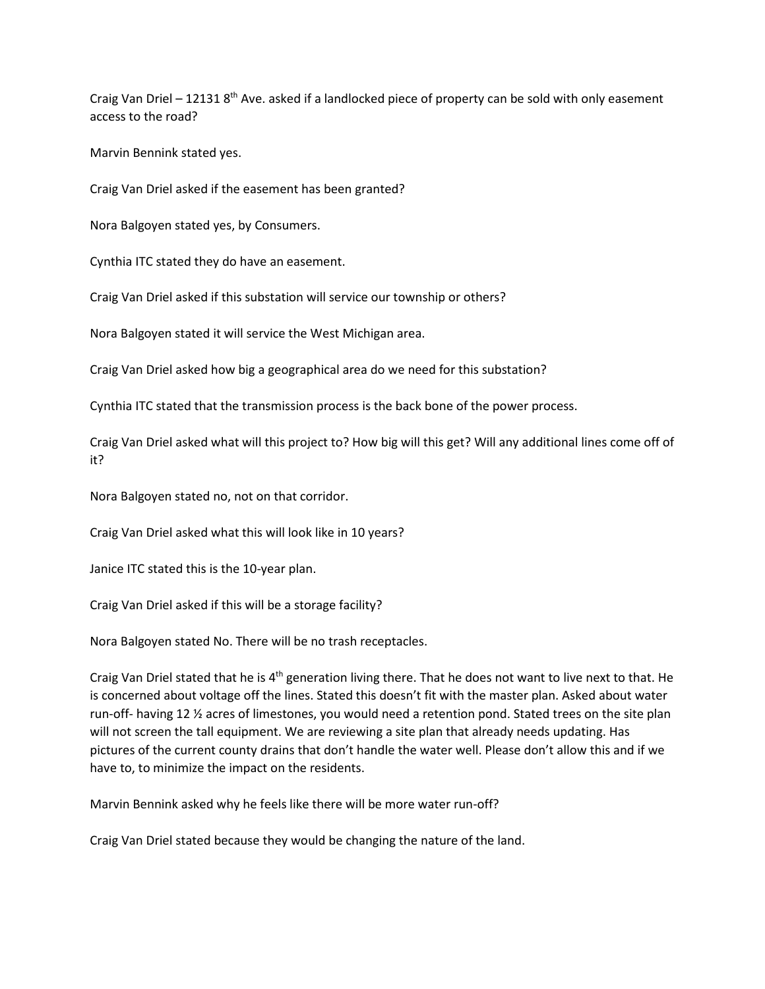Craig Van Driel – 12131  $8<sup>th</sup>$  Ave. asked if a landlocked piece of property can be sold with only easement access to the road?

Marvin Bennink stated yes.

Craig Van Driel asked if the easement has been granted?

Nora Balgoyen stated yes, by Consumers.

Cynthia ITC stated they do have an easement.

Craig Van Driel asked if this substation will service our township or others?

Nora Balgoyen stated it will service the West Michigan area.

Craig Van Driel asked how big a geographical area do we need for this substation?

Cynthia ITC stated that the transmission process is the back bone of the power process.

Craig Van Driel asked what will this project to? How big will this get? Will any additional lines come off of it?

Nora Balgoyen stated no, not on that corridor.

Craig Van Driel asked what this will look like in 10 years?

Janice ITC stated this is the 10-year plan.

Craig Van Driel asked if this will be a storage facility?

Nora Balgoyen stated No. There will be no trash receptacles.

Craig Van Driel stated that he is 4<sup>th</sup> generation living there. That he does not want to live next to that. He is concerned about voltage off the lines. Stated this doesn't fit with the master plan. Asked about water run-off- having 12 ½ acres of limestones, you would need a retention pond. Stated trees on the site plan will not screen the tall equipment. We are reviewing a site plan that already needs updating. Has pictures of the current county drains that don't handle the water well. Please don't allow this and if we have to, to minimize the impact on the residents.

Marvin Bennink asked why he feels like there will be more water run-off?

Craig Van Driel stated because they would be changing the nature of the land.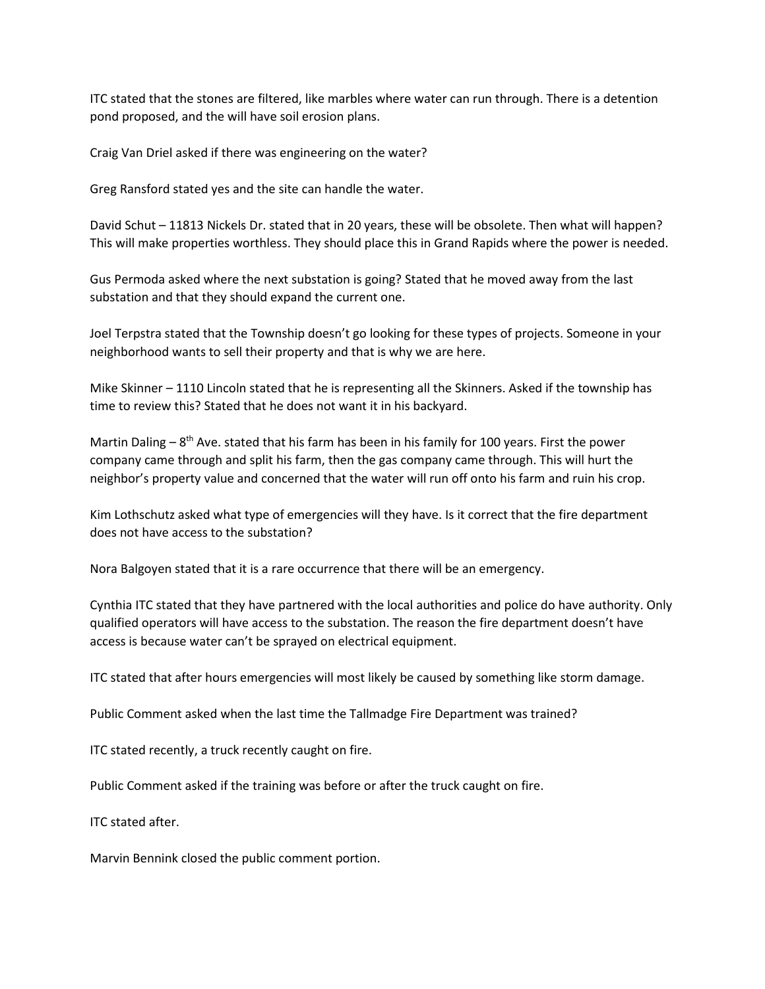ITC stated that the stones are filtered, like marbles where water can run through. There is a detention pond proposed, and the will have soil erosion plans.

Craig Van Driel asked if there was engineering on the water?

Greg Ransford stated yes and the site can handle the water.

David Schut – 11813 Nickels Dr. stated that in 20 years, these will be obsolete. Then what will happen? This will make properties worthless. They should place this in Grand Rapids where the power is needed.

Gus Permoda asked where the next substation is going? Stated that he moved away from the last substation and that they should expand the current one.

Joel Terpstra stated that the Township doesn't go looking for these types of projects. Someone in your neighborhood wants to sell their property and that is why we are here.

Mike Skinner – 1110 Lincoln stated that he is representing all the Skinners. Asked if the township has time to review this? Stated that he does not want it in his backyard.

Martin Daling –  $8<sup>th</sup>$  Ave. stated that his farm has been in his family for 100 years. First the power company came through and split his farm, then the gas company came through. This will hurt the neighbor's property value and concerned that the water will run off onto his farm and ruin his crop.

Kim Lothschutz asked what type of emergencies will they have. Is it correct that the fire department does not have access to the substation?

Nora Balgoyen stated that it is a rare occurrence that there will be an emergency.

Cynthia ITC stated that they have partnered with the local authorities and police do have authority. Only qualified operators will have access to the substation. The reason the fire department doesn't have access is because water can't be sprayed on electrical equipment.

ITC stated that after hours emergencies will most likely be caused by something like storm damage.

Public Comment asked when the last time the Tallmadge Fire Department was trained?

ITC stated recently, a truck recently caught on fire.

Public Comment asked if the training was before or after the truck caught on fire.

ITC stated after.

Marvin Bennink closed the public comment portion.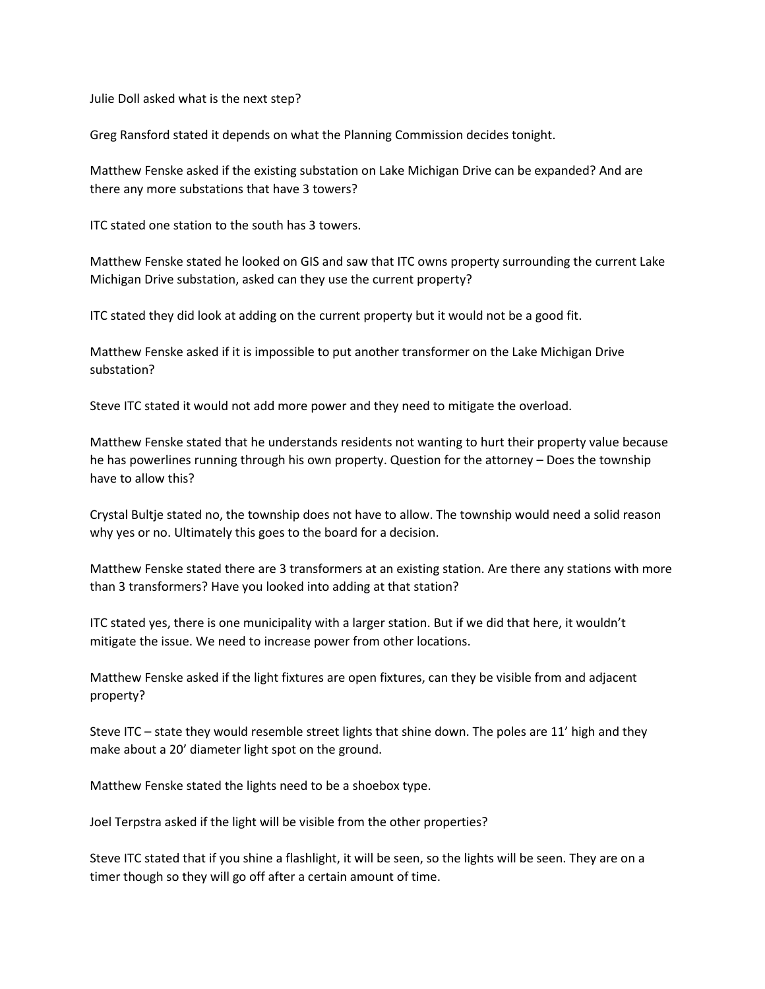Julie Doll asked what is the next step?

Greg Ransford stated it depends on what the Planning Commission decides tonight.

Matthew Fenske asked if the existing substation on Lake Michigan Drive can be expanded? And are there any more substations that have 3 towers?

ITC stated one station to the south has 3 towers.

Matthew Fenske stated he looked on GIS and saw that ITC owns property surrounding the current Lake Michigan Drive substation, asked can they use the current property?

ITC stated they did look at adding on the current property but it would not be a good fit.

Matthew Fenske asked if it is impossible to put another transformer on the Lake Michigan Drive substation?

Steve ITC stated it would not add more power and they need to mitigate the overload.

Matthew Fenske stated that he understands residents not wanting to hurt their property value because he has powerlines running through his own property. Question for the attorney – Does the township have to allow this?

Crystal Bultje stated no, the township does not have to allow. The township would need a solid reason why yes or no. Ultimately this goes to the board for a decision.

Matthew Fenske stated there are 3 transformers at an existing station. Are there any stations with more than 3 transformers? Have you looked into adding at that station?

ITC stated yes, there is one municipality with a larger station. But if we did that here, it wouldn't mitigate the issue. We need to increase power from other locations.

Matthew Fenske asked if the light fixtures are open fixtures, can they be visible from and adjacent property?

Steve ITC – state they would resemble street lights that shine down. The poles are 11' high and they make about a 20' diameter light spot on the ground.

Matthew Fenske stated the lights need to be a shoebox type.

Joel Terpstra asked if the light will be visible from the other properties?

Steve ITC stated that if you shine a flashlight, it will be seen, so the lights will be seen. They are on a timer though so they will go off after a certain amount of time.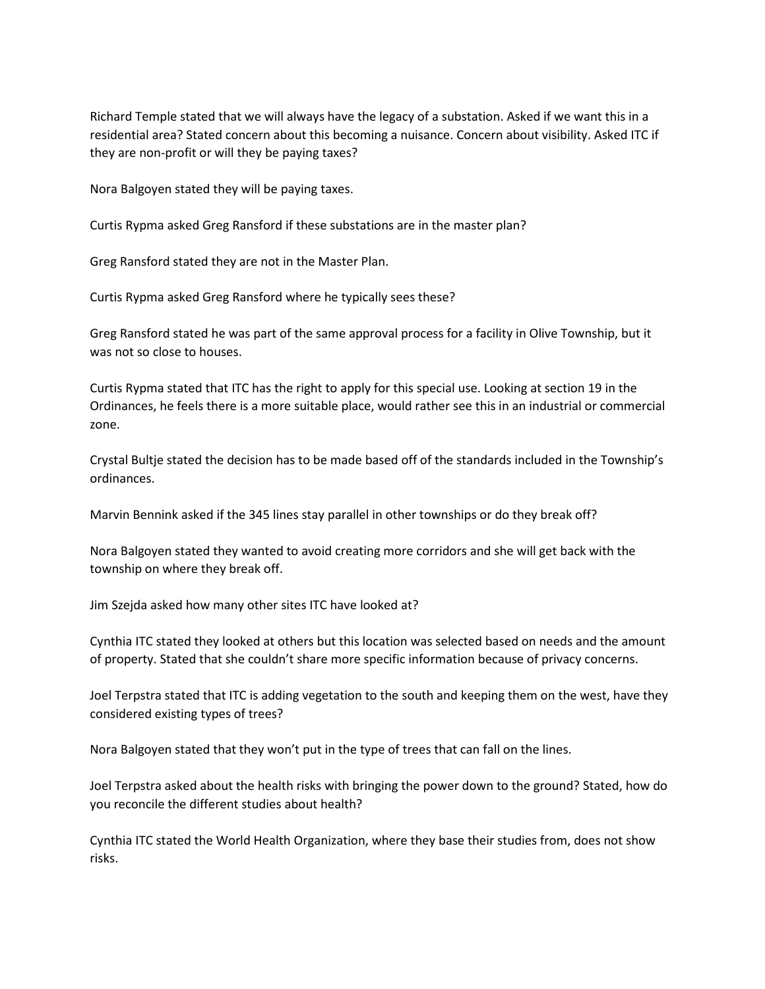Richard Temple stated that we will always have the legacy of a substation. Asked if we want this in a residential area? Stated concern about this becoming a nuisance. Concern about visibility. Asked ITC if they are non-profit or will they be paying taxes?

Nora Balgoyen stated they will be paying taxes.

Curtis Rypma asked Greg Ransford if these substations are in the master plan?

Greg Ransford stated they are not in the Master Plan.

Curtis Rypma asked Greg Ransford where he typically sees these?

Greg Ransford stated he was part of the same approval process for a facility in Olive Township, but it was not so close to houses.

Curtis Rypma stated that ITC has the right to apply for this special use. Looking at section 19 in the Ordinances, he feels there is a more suitable place, would rather see this in an industrial or commercial zone.

Crystal Bultje stated the decision has to be made based off of the standards included in the Township's ordinances.

Marvin Bennink asked if the 345 lines stay parallel in other townships or do they break off?

Nora Balgoyen stated they wanted to avoid creating more corridors and she will get back with the township on where they break off.

Jim Szejda asked how many other sites ITC have looked at?

Cynthia ITC stated they looked at others but this location was selected based on needs and the amount of property. Stated that she couldn't share more specific information because of privacy concerns.

Joel Terpstra stated that ITC is adding vegetation to the south and keeping them on the west, have they considered existing types of trees?

Nora Balgoyen stated that they won't put in the type of trees that can fall on the lines.

Joel Terpstra asked about the health risks with bringing the power down to the ground? Stated, how do you reconcile the different studies about health?

Cynthia ITC stated the World Health Organization, where they base their studies from, does not show risks.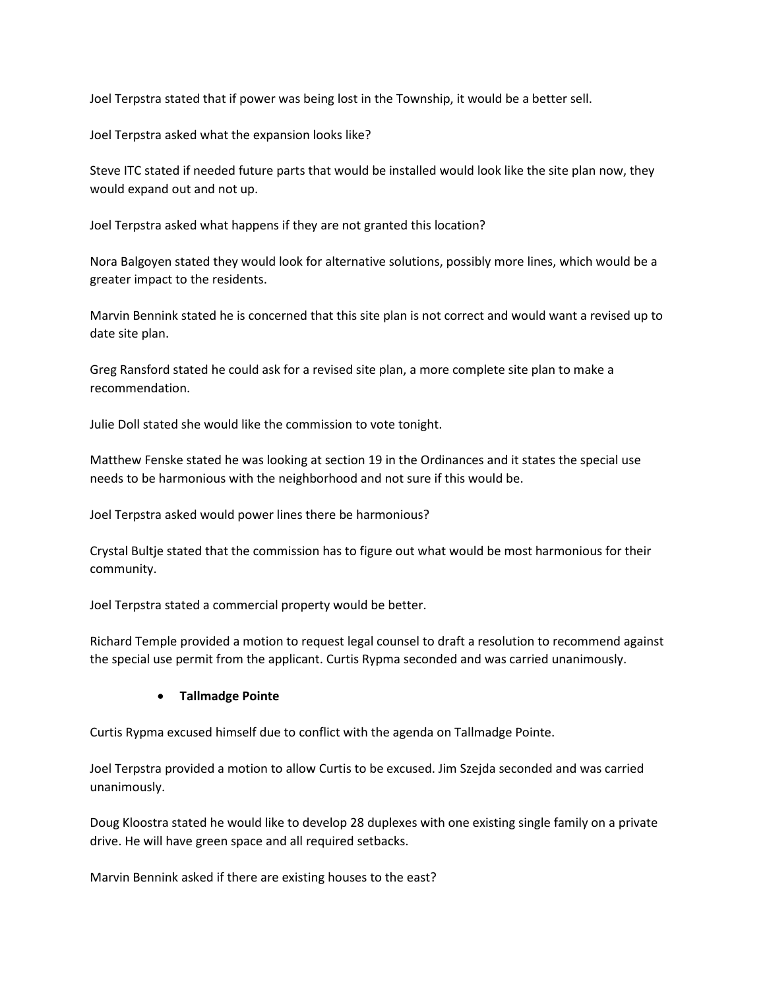Joel Terpstra stated that if power was being lost in the Township, it would be a better sell.

Joel Terpstra asked what the expansion looks like?

Steve ITC stated if needed future parts that would be installed would look like the site plan now, they would expand out and not up.

Joel Terpstra asked what happens if they are not granted this location?

Nora Balgoyen stated they would look for alternative solutions, possibly more lines, which would be a greater impact to the residents.

Marvin Bennink stated he is concerned that this site plan is not correct and would want a revised up to date site plan.

Greg Ransford stated he could ask for a revised site plan, a more complete site plan to make a recommendation.

Julie Doll stated she would like the commission to vote tonight.

Matthew Fenske stated he was looking at section 19 in the Ordinances and it states the special use needs to be harmonious with the neighborhood and not sure if this would be.

Joel Terpstra asked would power lines there be harmonious?

Crystal Bultje stated that the commission has to figure out what would be most harmonious for their community.

Joel Terpstra stated a commercial property would be better.

Richard Temple provided a motion to request legal counsel to draft a resolution to recommend against the special use permit from the applicant. Curtis Rypma seconded and was carried unanimously.

# • **Tallmadge Pointe**

Curtis Rypma excused himself due to conflict with the agenda on Tallmadge Pointe.

Joel Terpstra provided a motion to allow Curtis to be excused. Jim Szejda seconded and was carried unanimously.

Doug Kloostra stated he would like to develop 28 duplexes with one existing single family on a private drive. He will have green space and all required setbacks.

Marvin Bennink asked if there are existing houses to the east?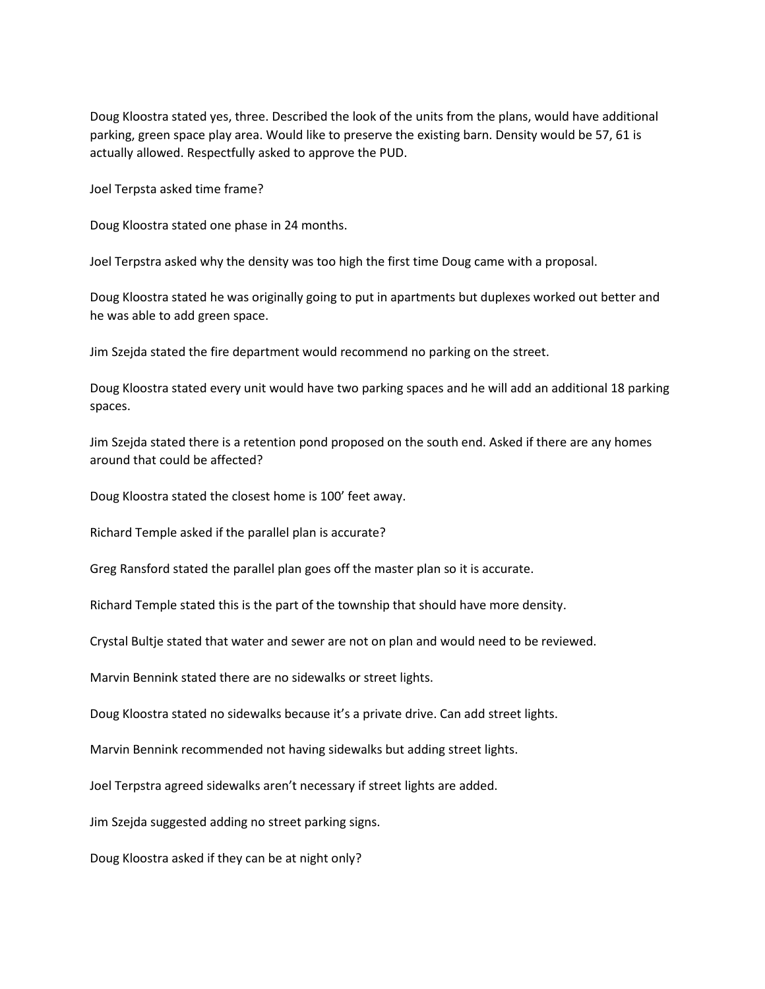Doug Kloostra stated yes, three. Described the look of the units from the plans, would have additional parking, green space play area. Would like to preserve the existing barn. Density would be 57, 61 is actually allowed. Respectfully asked to approve the PUD.

Joel Terpsta asked time frame?

Doug Kloostra stated one phase in 24 months.

Joel Terpstra asked why the density was too high the first time Doug came with a proposal.

Doug Kloostra stated he was originally going to put in apartments but duplexes worked out better and he was able to add green space.

Jim Szejda stated the fire department would recommend no parking on the street.

Doug Kloostra stated every unit would have two parking spaces and he will add an additional 18 parking spaces.

Jim Szejda stated there is a retention pond proposed on the south end. Asked if there are any homes around that could be affected?

Doug Kloostra stated the closest home is 100' feet away.

Richard Temple asked if the parallel plan is accurate?

Greg Ransford stated the parallel plan goes off the master plan so it is accurate.

Richard Temple stated this is the part of the township that should have more density.

Crystal Bultje stated that water and sewer are not on plan and would need to be reviewed.

Marvin Bennink stated there are no sidewalks or street lights.

Doug Kloostra stated no sidewalks because it's a private drive. Can add street lights.

Marvin Bennink recommended not having sidewalks but adding street lights.

Joel Terpstra agreed sidewalks aren't necessary if street lights are added.

Jim Szejda suggested adding no street parking signs.

Doug Kloostra asked if they can be at night only?